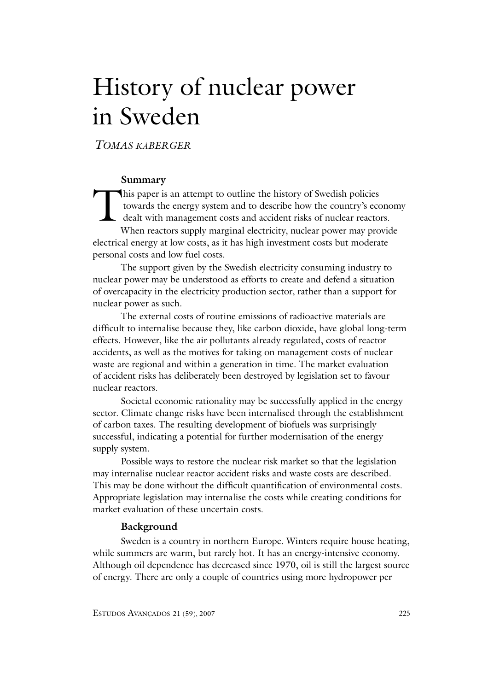# History of nuclear power in Sweden

*TOMAS KÅBERGER*

# **Summary**

This paper is an attempt to outline the history of Swedish policies<br>towards the energy system and to describe how the country's ecc<br>dealt with management costs and accident risks of nuclear reactor<br>When reactors supply mar towards the energy system and to describe how the country's economy dealt with management costs and accident risks of nuclear reactors. When reactors supply marginal electricity, nuclear power may provide electrical energy at low costs, as it has high investment costs but moderate personal costs and low fuel costs.

The support given by the Swedish electricity consuming industry to nuclear power may be understood as efforts to create and defend a situation of overcapacity in the electricity production sector, rather than a support for nuclear power as such.

The external costs of routine emissions of radioactive materials are difficult to internalise because they, like carbon dioxide, have global long-term effects. However, like the air pollutants already regulated, costs of reactor accidents, as well as the motives for taking on management costs of nuclear waste are regional and within a generation in time. The market evaluation of accident risks has deliberately been destroyed by legislation set to favour nuclear reactors.

Societal economic rationality may be successfully applied in the energy sector. Climate change risks have been internalised through the establishment of carbon taxes. The resulting development of biofuels was surprisingly successful, indicating a potential for further modernisation of the energy supply system.

Possible ways to restore the nuclear risk market so that the legislation may internalise nuclear reactor accident risks and waste costs are described. This may be done without the difficult quantification of environmental costs. Appropriate legislation may internalise the costs while creating conditions for market evaluation of these uncertain costs.

## **Background**

Sweden is a country in northern Europe. Winters require house heating, while summers are warm, but rarely hot. It has an energy-intensive economy. Although oil dependence has decreased since 1970, oil is still the largest source of energy. There are only a couple of countries using more hydropower per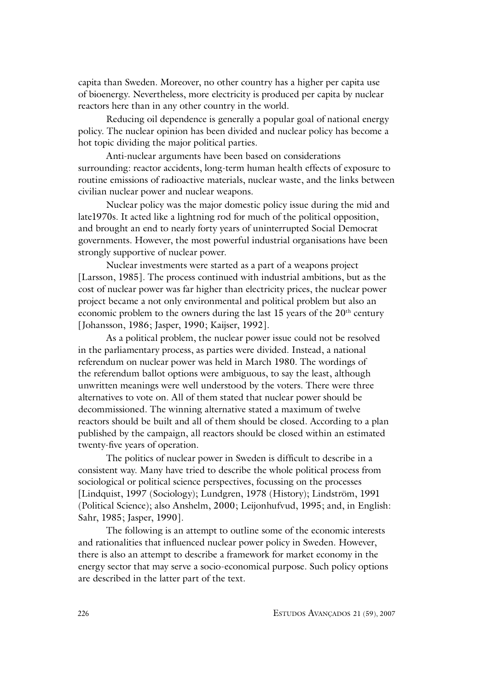capita than Sweden. Moreover, no other country has a higher per capita use of bioenergy. Nevertheless, more electricity is produced per capita by nuclear reactors here than in any other country in the world.

Reducing oil dependence is generally a popular goal of national energy policy. The nuclear opinion has been divided and nuclear policy has become a hot topic dividing the major political parties.

Anti-nuclear arguments have been based on considerations surrounding: reactor accidents, long-term human health effects of exposure to routine emissions of radioactive materials, nuclear waste, and the links between civilian nuclear power and nuclear weapons.

Nuclear policy was the major domestic policy issue during the mid and late1970s. It acted like a lightning rod for much of the political opposition, and brought an end to nearly forty years of uninterrupted Social Democrat governments. However, the most powerful industrial organisations have been strongly supportive of nuclear power.

Nuclear investments were started as a part of a weapons project [Larsson, 1985]. The process continued with industrial ambitions, but as the cost of nuclear power was far higher than electricity prices, the nuclear power project became a not only environmental and political problem but also an economic problem to the owners during the last  $15$  years of the  $20<sup>th</sup>$  century [Johansson, 1986; Jasper, 1990; Kaijser, 1992].

As a political problem, the nuclear power issue could not be resolved in the parliamentary process, as parties were divided. Instead, a national referendum on nuclear power was held in March 1980. The wordings of the referendum ballot options were ambiguous, to say the least, although unwritten meanings were well understood by the voters. There were three alternatives to vote on. All of them stated that nuclear power should be decommissioned. The winning alternative stated a maximum of twelve reactors should be built and all of them should be closed. According to a plan published by the campaign, all reactors should be closed within an estimated twenty-five years of operation.

The politics of nuclear power in Sweden is difficult to describe in a consistent way. Many have tried to describe the whole political process from sociological or political science perspectives, focussing on the processes [Lindquist, 1997 (Sociology); Lundgren, 1978 (History); Lindström, 1991 (Political Science); also Anshelm, 2000; Leijonhufvud, 1995; and, in English: Sahr, 1985; Jasper, 1990].

The following is an attempt to outline some of the economic interests and rationalities that influenced nuclear power policy in Sweden. However, there is also an attempt to describe a framework for market economy in the energy sector that may serve a socio-economical purpose. Such policy options are described in the latter part of the text.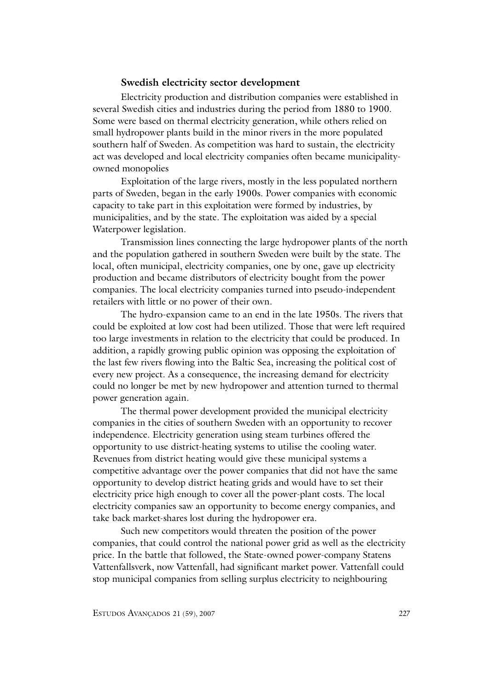## **Swedish electricity sector development**

Electricity production and distribution companies were established in several Swedish cities and industries during the period from 1880 to 1900. Some were based on thermal electricity generation, while others relied on small hydropower plants build in the minor rivers in the more populated southern half of Sweden. As competition was hard to sustain, the electricity act was developed and local electricity companies often became municipalityowned monopolies

Exploitation of the large rivers, mostly in the less populated northern parts of Sweden, began in the early 1900s. Power companies with economic capacity to take part in this exploitation were formed by industries, by municipalities, and by the state. The exploitation was aided by a special Waterpower legislation.

Transmission lines connecting the large hydropower plants of the north and the population gathered in southern Sweden were built by the state. The local, often municipal, electricity companies, one by one, gave up electricity production and became distributors of electricity bought from the power companies. The local electricity companies turned into pseudo-independent retailers with little or no power of their own.

The hydro-expansion came to an end in the late 1950s. The rivers that could be exploited at low cost had been utilized. Those that were left required too large investments in relation to the electricity that could be produced. In addition, a rapidly growing public opinion was opposing the exploitation of the last few rivers flowing into the Baltic Sea, increasing the political cost of every new project. As a consequence, the increasing demand for electricity could no longer be met by new hydropower and attention turned to thermal power generation again.

The thermal power development provided the municipal electricity companies in the cities of southern Sweden with an opportunity to recover independence. Electricity generation using steam turbines offered the opportunity to use district-heating systems to utilise the cooling water. Revenues from district heating would give these municipal systems a competitive advantage over the power companies that did not have the same opportunity to develop district heating grids and would have to set their electricity price high enough to cover all the power-plant costs. The local electricity companies saw an opportunity to become energy companies, and take back market-shares lost during the hydropower era.

Such new competitors would threaten the position of the power companies, that could control the national power grid as well as the electricity price. In the battle that followed, the State-owned power-company Statens Vattenfallsverk, now Vattenfall, had significant market power. Vattenfall could stop municipal companies from selling surplus electricity to neighbouring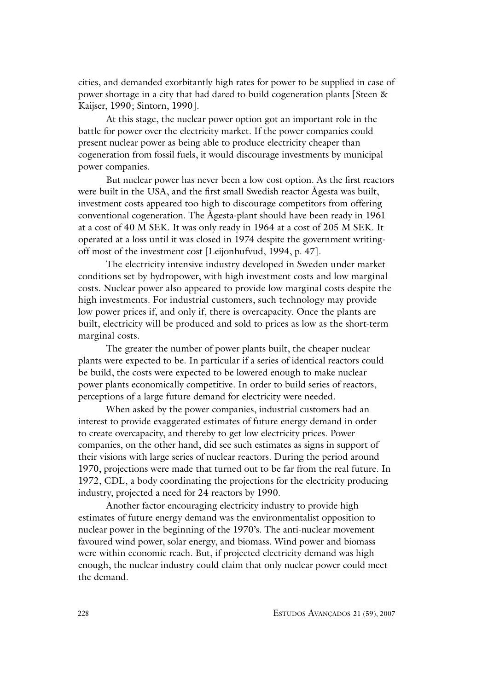cities, and demanded exorbitantly high rates for power to be supplied in case of power shortage in a city that had dared to build cogeneration plants [Steen & Kaijser, 1990; Sintorn, 1990].

At this stage, the nuclear power option got an important role in the battle for power over the electricity market. If the power companies could present nuclear power as being able to produce electricity cheaper than cogeneration from fossil fuels, it would discourage investments by municipal power companies.

But nuclear power has never been a low cost option. As the first reactors were built in the USA, and the first small Swedish reactor Ågesta was built, investment costs appeared too high to discourage competitors from offering conventional cogeneration. The Ågesta-plant should have been ready in 1961 at a cost of 40 M SEK. It was only ready in 1964 at a cost of 205 M SEK. It operated at a loss until it was closed in 1974 despite the government writingoff most of the investment cost [Leijonhufvud, 1994, p. 47].

The electricity intensive industry developed in Sweden under market conditions set by hydropower, with high investment costs and low marginal costs. Nuclear power also appeared to provide low marginal costs despite the high investments. For industrial customers, such technology may provide low power prices if, and only if, there is overcapacity. Once the plants are built, electricity will be produced and sold to prices as low as the short-term marginal costs.

The greater the number of power plants built, the cheaper nuclear plants were expected to be. In particular if a series of identical reactors could be build, the costs were expected to be lowered enough to make nuclear power plants economically competitive. In order to build series of reactors, perceptions of a large future demand for electricity were needed.

When asked by the power companies, industrial customers had an interest to provide exaggerated estimates of future energy demand in order to create overcapacity, and thereby to get low electricity prices. Power companies, on the other hand, did see such estimates as signs in support of their visions with large series of nuclear reactors. During the period around 1970, projections were made that turned out to be far from the real future. In 1972, CDL, a body coordinating the projections for the electricity producing industry, projected a need for 24 reactors by 1990.

Another factor encouraging electricity industry to provide high estimates of future energy demand was the environmentalist opposition to nuclear power in the beginning of the 1970's. The anti-nuclear movement favoured wind power, solar energy, and biomass. Wind power and biomass were within economic reach. But, if projected electricity demand was high enough, the nuclear industry could claim that only nuclear power could meet the demand.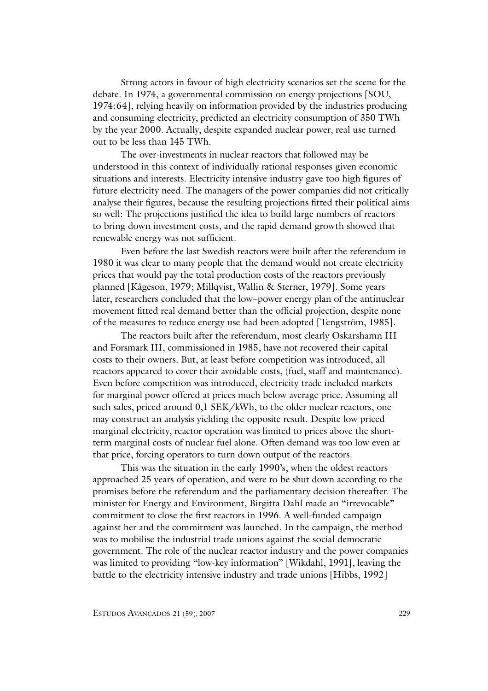Strong actors in favour of high electricity scenarios set the scene for the debate. In 1974, a governmental commission on energy projections [SOU, 1974:64], relying heavily on information provided by the industries producing and consuming electricity, predicted an electricity consumption of 350 TWh by the year 2000. Actually, despite expanded nuclear power, real use turned out to be less than 145 TWh.

The over-investments in nuclear reactors that followed may be understood in this context of individually rational responses given economic situations and interests. Electricity intensive industry gave too high figures of future electricity need. The managers of the power companies did not critically analyse their figures, because the resulting projections fitted their political aims so well: The projections justified the idea to build large numbers of reactors to bring down investment costs, and the rapid demand growth showed that renewable energy was not sufficient.

Even before the last Swedish reactors were built after the referendum in 1980 it was clear to many people that the demand would not create electricity prices that would pay the total production costs of the reactors previously planned [Kågeson, 1979; Millqvist, Wallin & Sterner, 1979]. Some years later, researchers concluded that the low–power energy plan of the antinuclear movement fitted real demand better than the official projection, despite none of the measures to reduce energy use had been adopted [Tengström, 1985].

The reactors built after the referendum, most clearly Oskarshamn III and Forsmark III, commissioned in 1985, have not recovered their capital costs to their owners. But, at least before competition was introduced, all reactors appeared to cover their avoidable costs, (fuel, staff and maintenance). Even before competition was introduced, electricity trade included markets for marginal power offered at prices much below average price. Assuming all such sales, priced around 0,1 SEK/kWh, to the older nuclear reactors, one may construct an analysis yielding the opposite result. Despite low priced marginal electricity, reactor operation was limited to prices above the shortterm marginal costs of nuclear fuel alone. Often demand was too low even at that price, forcing operators to turn down output of the reactors.

This was the situation in the early 1990's, when the oldest reactors approached 25 years of operation, and were to be shut down according to the promises before the referendum and the parliamentary decision thereafter. The minister for Energy and Environment, Birgitta Dahl made an "irrevocable" commitment to close the first reactors in 1996. A well-funded campaign against her and the commitment was launched. In the campaign, the method was to mobilise the industrial trade unions against the social democratic government. The role of the nuclear reactor industry and the power companies was limited to providing "low-key information" [Wikdahl, 1991], leaving the battle to the electricity intensive industry and trade unions [Hibbs, 1992]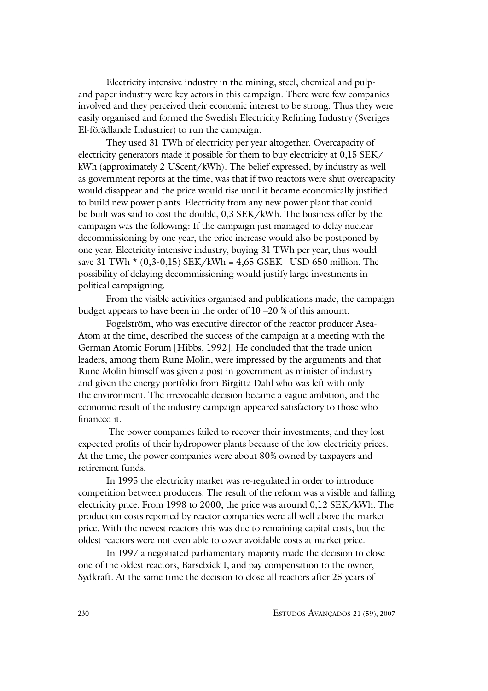Electricity intensive industry in the mining, steel, chemical and pulpand paper industry were key actors in this campaign. There were few companies involved and they perceived their economic interest to be strong. Thus they were easily organised and formed the Swedish Electricity Refining Industry (Sveriges El-förädlande Industrier) to run the campaign.

They used 31 TWh of electricity per year altogether. Overcapacity of electricity generators made it possible for them to buy electricity at 0,15 SEK/ kWh (approximately 2 UScent/kWh). The belief expressed, by industry as well as government reports at the time, was that if two reactors were shut overcapacity would disappear and the price would rise until it became economically justified to build new power plants. Electricity from any new power plant that could be built was said to cost the double, 0,3 SEK/kWh. The business offer by the campaign was the following: If the campaign just managed to delay nuclear decommissioning by one year, the price increase would also be postponed by one year. Electricity intensive industry, buying 31 TWh per year, thus would save 31 TWh  $*(0,3-0,15)$  SEK/kWh = 4,65 GSEK USD 650 million. The possibility of delaying decommissioning would justify large investments in political campaigning.

From the visible activities organised and publications made, the campaign budget appears to have been in the order of 10 –20 % of this amount.

Fogelström, who was executive director of the reactor producer Asea-Atom at the time, described the success of the campaign at a meeting with the German Atomic Forum [Hibbs, 1992]. He concluded that the trade union leaders, among them Rune Molin, were impressed by the arguments and that Rune Molin himself was given a post in government as minister of industry and given the energy portfolio from Birgitta Dahl who was left with only the environment. The irrevocable decision became a vague ambition, and the economic result of the industry campaign appeared satisfactory to those who financed it.

 The power companies failed to recover their investments, and they lost expected profits of their hydropower plants because of the low electricity prices. At the time, the power companies were about 80% owned by taxpayers and retirement funds.

In 1995 the electricity market was re-regulated in order to introduce competition between producers. The result of the reform was a visible and falling electricity price. From 1998 to 2000, the price was around 0,12 SEK/kWh. The production costs reported by reactor companies were all well above the market price. With the newest reactors this was due to remaining capital costs, but the oldest reactors were not even able to cover avoidable costs at market price.

In 1997 a negotiated parliamentary majority made the decision to close one of the oldest reactors, Barsebäck I, and pay compensation to the owner, Sydkraft. At the same time the decision to close all reactors after 25 years of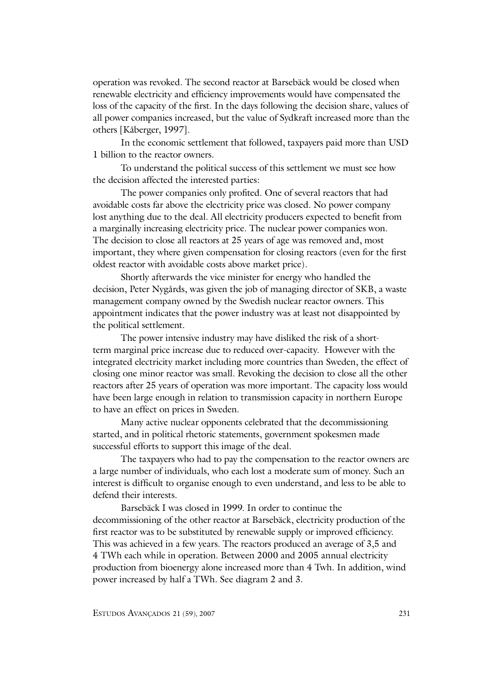operation was revoked. The second reactor at Barsebäck would be closed when renewable electricity and efficiency improvements would have compensated the loss of the capacity of the first. In the days following the decision share, values of all power companies increased, but the value of Sydkraft increased more than the others [Kåberger, 1997].

In the economic settlement that followed, taxpayers paid more than USD 1 billion to the reactor owners.

To understand the political success of this settlement we must see how the decision affected the interested parties:

The power companies only profited. One of several reactors that had avoidable costs far above the electricity price was closed. No power company lost anything due to the deal. All electricity producers expected to benefit from a marginally increasing electricity price. The nuclear power companies won. The decision to close all reactors at 25 years of age was removed and, most important, they where given compensation for closing reactors (even for the first oldest reactor with avoidable costs above market price).

Shortly afterwards the vice minister for energy who handled the decision, Peter Nygårds, was given the job of managing director of SKB, a waste management company owned by the Swedish nuclear reactor owners. This appointment indicates that the power industry was at least not disappointed by the political settlement.

The power intensive industry may have disliked the risk of a shortterm marginal price increase due to reduced over-capacity. However with the integrated electricity market including more countries than Sweden, the effect of closing one minor reactor was small. Revoking the decision to close all the other reactors after 25 years of operation was more important. The capacity loss would have been large enough in relation to transmission capacity in northern Europe to have an effect on prices in Sweden.

Many active nuclear opponents celebrated that the decommissioning started, and in political rhetoric statements, government spokesmen made successful efforts to support this image of the deal.

The taxpayers who had to pay the compensation to the reactor owners are a large number of individuals, who each lost a moderate sum of money. Such an interest is difficult to organise enough to even understand, and less to be able to defend their interests.

Barsebäck I was closed in 1999. In order to continue the decommissioning of the other reactor at Barsebäck, electricity production of the first reactor was to be substituted by renewable supply or improved efficiency. This was achieved in a few years. The reactors produced an average of 3,5 and 4 TWh each while in operation. Between 2000 and 2005 annual electricity production from bioenergy alone increased more than 4 Twh. In addition, wind power increased by half a TWh. See diagram 2 and 3.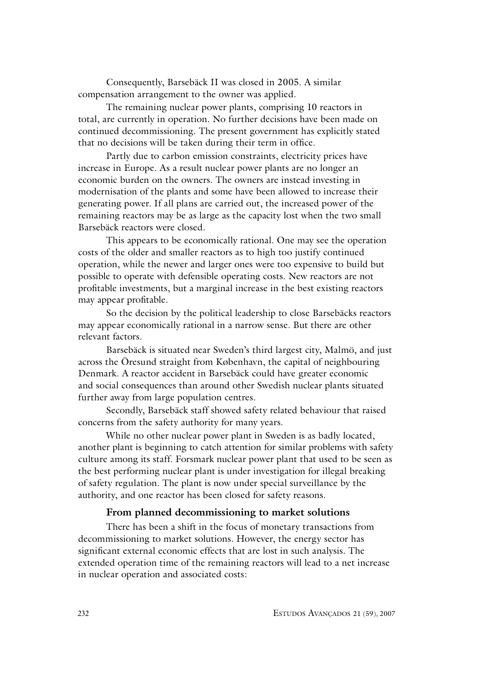Consequently, Barsebäck II was closed in 2005. A similar compensation arrangement to the owner was applied.

The remaining nuclear power plants, comprising 10 reactors in total, are currently in operation. No further decisions have been made on continued decommissioning. The present government has explicitly stated that no decisions will be taken during their term in office.

Partly due to carbon emission constraints, electricity prices have increase in Europe. As a result nuclear power plants are no longer an economic burden on the owners. The owners are instead investing in modernisation of the plants and some have been allowed to increase their generating power. If all plans are carried out, the increased power of the remaining reactors may be as large as the capacity lost when the two small Barsebäck reactors were closed.

This appears to be economically rational. One may see the operation costs of the older and smaller reactors as to high too justify continued operation, while the newer and larger ones were too expensive to build but possible to operate with defensible operating costs. New reactors are not profitable investments, but a marginal increase in the best existing reactors may appear profitable.

So the decision by the political leadership to close Barsebäcks reactors may appear economically rational in a narrow sense. But there are other relevant factors.

Barsebäck is situated near Sweden's third largest city, Malmö, and just across the Öresund straight from København, the capital of neighbouring Denmark. A reactor accident in Barsebäck could have greater economic and social consequences than around other Swedish nuclear plants situated further away from large population centres.

Secondly, Barsebäck staff showed safety related behaviour that raised concerns from the safety authority for many years.

While no other nuclear power plant in Sweden is as badly located, another plant is beginning to catch attention for similar problems with safety culture among its staff. Forsmark nuclear power plant that used to be seen as the best performing nuclear plant is under investigation for illegal breaking of safety regulation. The plant is now under special surveillance by the authority, and one reactor has been closed for safety reasons.

# **From planned decommissioning to market solutions**

There has been a shift in the focus of monetary transactions from decommissioning to market solutions. However, the energy sector has significant external economic effects that are lost in such analysis. The extended operation time of the remaining reactors will lead to a net increase in nuclear operation and associated costs: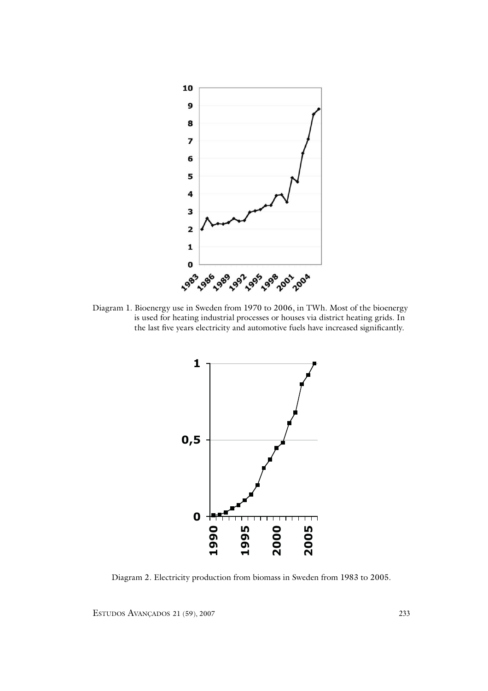

Diagram 1. Bioenergy use in Sweden from 1970 to 2006, in TWh. Most of the bioenergy is used for heating industrial processes or houses via district heating grids. In the last five years electricity and automotive fuels have increased significantly.



Diagram 2. Electricity production from biomass in Sweden from 1983 to 2005.

ESTUDOS AVANÇADOS 21 (59), 2007 233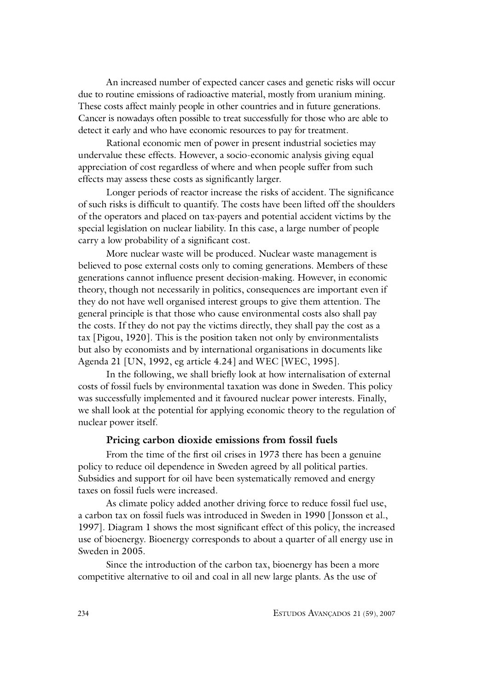An increased number of expected cancer cases and genetic risks will occur due to routine emissions of radioactive material, mostly from uranium mining. These costs affect mainly people in other countries and in future generations. Cancer is nowadays often possible to treat successfully for those who are able to detect it early and who have economic resources to pay for treatment.

Rational economic men of power in present industrial societies may undervalue these effects. However, a socio-economic analysis giving equal appreciation of cost regardless of where and when people suffer from such effects may assess these costs as significantly larger.

Longer periods of reactor increase the risks of accident. The significance of such risks is difficult to quantify. The costs have been lifted off the shoulders of the operators and placed on tax-payers and potential accident victims by the special legislation on nuclear liability. In this case, a large number of people carry a low probability of a significant cost.

More nuclear waste will be produced. Nuclear waste management is believed to pose external costs only to coming generations. Members of these generations cannot influence present decision-making. However, in economic theory, though not necessarily in politics, consequences are important even if they do not have well organised interest groups to give them attention. The general principle is that those who cause environmental costs also shall pay the costs. If they do not pay the victims directly, they shall pay the cost as a tax [Pigou, 1920]. This is the position taken not only by environmentalists but also by economists and by international organisations in documents like Agenda 21 [UN, 1992, eg article 4.24] and WEC [WEC, 1995].

In the following, we shall briefly look at how internalisation of external costs of fossil fuels by environmental taxation was done in Sweden. This policy was successfully implemented and it favoured nuclear power interests. Finally, we shall look at the potential for applying economic theory to the regulation of nuclear power itself.

## **Pricing carbon dioxide emissions from fossil fuels**

From the time of the first oil crises in 1973 there has been a genuine policy to reduce oil dependence in Sweden agreed by all political parties. Subsidies and support for oil have been systematically removed and energy taxes on fossil fuels were increased.

As climate policy added another driving force to reduce fossil fuel use, a carbon tax on fossil fuels was introduced in Sweden in 1990 [Jonsson et al., 1997]. Diagram 1 shows the most significant effect of this policy, the increased use of bioenergy. Bioenergy corresponds to about a quarter of all energy use in Sweden in 2005.

Since the introduction of the carbon tax, bioenergy has been a more competitive alternative to oil and coal in all new large plants. As the use of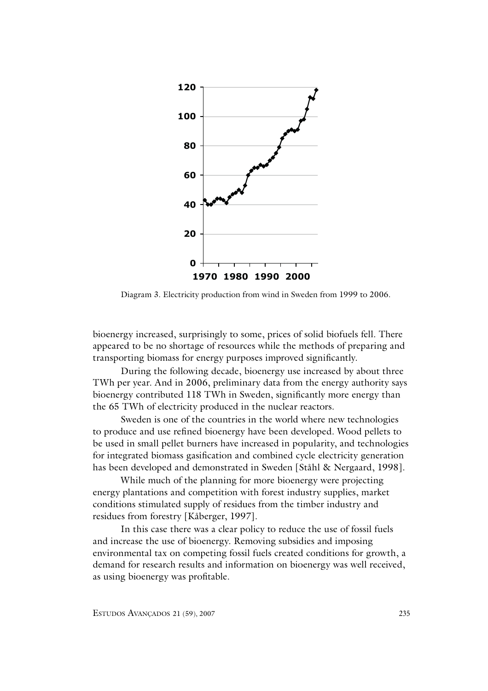

Diagram 3. Electricity production from wind in Sweden from 1999 to 2006.

bioenergy increased, surprisingly to some, prices of solid biofuels fell. There appeared to be no shortage of resources while the methods of preparing and transporting biomass for energy purposes improved significantly.

During the following decade, bioenergy use increased by about three TWh per year. And in 2006, preliminary data from the energy authority says bioenergy contributed 118 TWh in Sweden, significantly more energy than the 65 TWh of electricity produced in the nuclear reactors.

Sweden is one of the countries in the world where new technologies to produce and use refined bioenergy have been developed. Wood pellets to be used in small pellet burners have increased in popularity, and technologies for integrated biomass gasification and combined cycle electricity generation has been developed and demonstrated in Sweden [Ståhl & Nergaard, 1998].

While much of the planning for more bioenergy were projecting energy plantations and competition with forest industry supplies, market conditions stimulated supply of residues from the timber industry and residues from forestry [Kåberger, 1997].

In this case there was a clear policy to reduce the use of fossil fuels and increase the use of bioenergy. Removing subsidies and imposing environmental tax on competing fossil fuels created conditions for growth, a demand for research results and information on bioenergy was well received, as using bioenergy was profitable.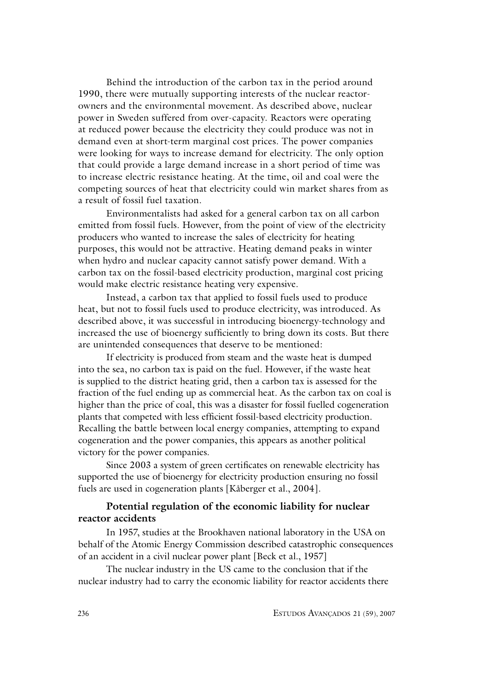Behind the introduction of the carbon tax in the period around 1990, there were mutually supporting interests of the nuclear reactorowners and the environmental movement. As described above, nuclear power in Sweden suffered from over-capacity. Reactors were operating at reduced power because the electricity they could produce was not in demand even at short-term marginal cost prices. The power companies were looking for ways to increase demand for electricity. The only option that could provide a large demand increase in a short period of time was to increase electric resistance heating. At the time, oil and coal were the competing sources of heat that electricity could win market shares from as a result of fossil fuel taxation.

Environmentalists had asked for a general carbon tax on all carbon emitted from fossil fuels. However, from the point of view of the electricity producers who wanted to increase the sales of electricity for heating purposes, this would not be attractive. Heating demand peaks in winter when hydro and nuclear capacity cannot satisfy power demand. With a carbon tax on the fossil-based electricity production, marginal cost pricing would make electric resistance heating very expensive.

Instead, a carbon tax that applied to fossil fuels used to produce heat, but not to fossil fuels used to produce electricity, was introduced. As described above, it was successful in introducing bioenergy-technology and increased the use of bioenergy sufficiently to bring down its costs. But there are unintended consequences that deserve to be mentioned:

If electricity is produced from steam and the waste heat is dumped into the sea, no carbon tax is paid on the fuel. However, if the waste heat is supplied to the district heating grid, then a carbon tax is assessed for the fraction of the fuel ending up as commercial heat. As the carbon tax on coal is higher than the price of coal, this was a disaster for fossil fuelled cogeneration plants that competed with less efficient fossil-based electricity production. Recalling the battle between local energy companies, attempting to expand cogeneration and the power companies, this appears as another political victory for the power companies.

Since 2003 a system of green certificates on renewable electricity has supported the use of bioenergy for electricity production ensuring no fossil fuels are used in cogeneration plants [Kåberger et al., 2004].

# **Potential regulation of the economic liability for nuclear reactor accidents**

In 1957, studies at the Brookhaven national laboratory in the USA on behalf of the Atomic Energy Commission described catastrophic consequences of an accident in a civil nuclear power plant [Beck et al., 1957]

The nuclear industry in the US came to the conclusion that if the nuclear industry had to carry the economic liability for reactor accidents there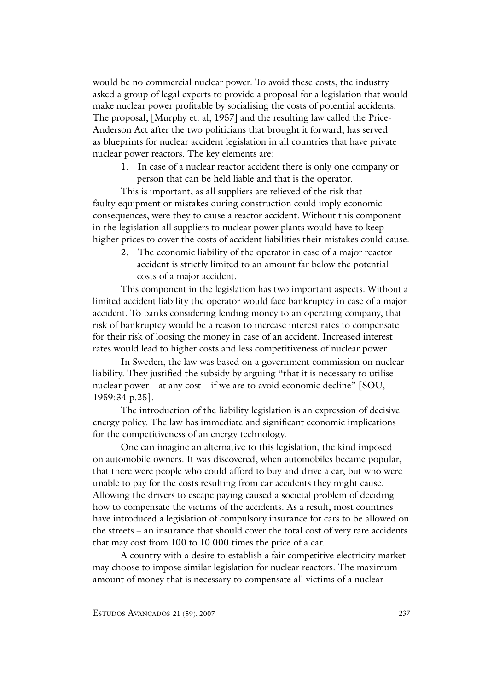would be no commercial nuclear power. To avoid these costs, the industry asked a group of legal experts to provide a proposal for a legislation that would make nuclear power profitable by socialising the costs of potential accidents. The proposal, [Murphy et. al, 1957] and the resulting law called the Price-Anderson Act after the two politicians that brought it forward, has served as blueprints for nuclear accident legislation in all countries that have private nuclear power reactors. The key elements are:

1. In case of a nuclear reactor accident there is only one company or person that can be held liable and that is the operator.

This is important, as all suppliers are relieved of the risk that faulty equipment or mistakes during construction could imply economic consequences, were they to cause a reactor accident. Without this component in the legislation all suppliers to nuclear power plants would have to keep higher prices to cover the costs of accident liabilities their mistakes could cause.

2. The economic liability of the operator in case of a major reactor accident is strictly limited to an amount far below the potential costs of a major accident.

This component in the legislation has two important aspects. Without a limited accident liability the operator would face bankruptcy in case of a major accident. To banks considering lending money to an operating company, that risk of bankruptcy would be a reason to increase interest rates to compensate for their risk of loosing the money in case of an accident. Increased interest rates would lead to higher costs and less competitiveness of nuclear power.

In Sweden, the law was based on a government commission on nuclear liability. They justified the subsidy by arguing "that it is necessary to utilise nuclear power – at any cost – if we are to avoid economic decline"  $[SOU,$ 1959:34 p.25].

The introduction of the liability legislation is an expression of decisive energy policy. The law has immediate and significant economic implications for the competitiveness of an energy technology.

One can imagine an alternative to this legislation, the kind imposed on automobile owners. It was discovered, when automobiles became popular, that there were people who could afford to buy and drive a car, but who were unable to pay for the costs resulting from car accidents they might cause. Allowing the drivers to escape paying caused a societal problem of deciding how to compensate the victims of the accidents. As a result, most countries have introduced a legislation of compulsory insurance for cars to be allowed on the streets – an insurance that should cover the total cost of very rare accidents that may cost from 100 to 10 000 times the price of a car.

A country with a desire to establish a fair competitive electricity market may choose to impose similar legislation for nuclear reactors. The maximum amount of money that is necessary to compensate all victims of a nuclear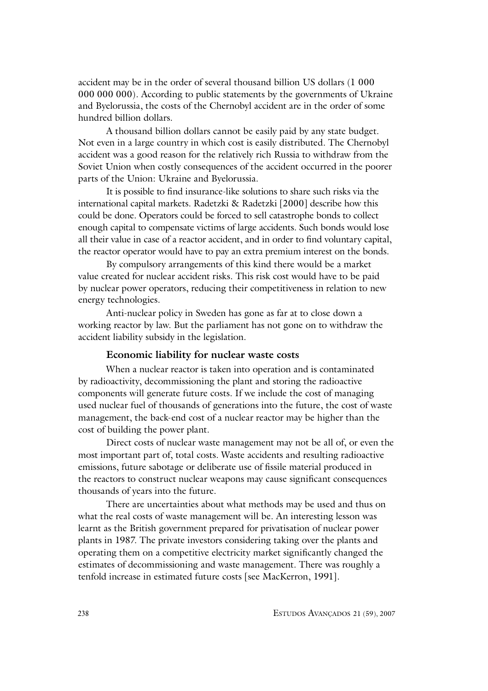accident may be in the order of several thousand billion US dollars (1 000 000 000 000). According to public statements by the governments of Ukraine and Byelorussia, the costs of the Chernobyl accident are in the order of some hundred billion dollars.

A thousand billion dollars cannot be easily paid by any state budget. Not even in a large country in which cost is easily distributed. The Chernobyl accident was a good reason for the relatively rich Russia to withdraw from the Soviet Union when costly consequences of the accident occurred in the poorer parts of the Union: Ukraine and Byelorussia.

It is possible to find insurance-like solutions to share such risks via the international capital markets. Radetzki & Radetzki [2000] describe how this could be done. Operators could be forced to sell catastrophe bonds to collect enough capital to compensate victims of large accidents. Such bonds would lose all their value in case of a reactor accident, and in order to find voluntary capital, the reactor operator would have to pay an extra premium interest on the bonds.

By compulsory arrangements of this kind there would be a market value created for nuclear accident risks. This risk cost would have to be paid by nuclear power operators, reducing their competitiveness in relation to new energy technologies.

Anti-nuclear policy in Sweden has gone as far at to close down a working reactor by law. But the parliament has not gone on to withdraw the accident liability subsidy in the legislation.

#### **Economic liability for nuclear waste costs**

When a nuclear reactor is taken into operation and is contaminated by radioactivity, decommissioning the plant and storing the radioactive components will generate future costs. If we include the cost of managing used nuclear fuel of thousands of generations into the future, the cost of waste management, the back-end cost of a nuclear reactor may be higher than the cost of building the power plant.

Direct costs of nuclear waste management may not be all of, or even the most important part of, total costs. Waste accidents and resulting radioactive emissions, future sabotage or deliberate use of fissile material produced in the reactors to construct nuclear weapons may cause significant consequences thousands of years into the future.

There are uncertainties about what methods may be used and thus on what the real costs of waste management will be. An interesting lesson was learnt as the British government prepared for privatisation of nuclear power plants in 1987. The private investors considering taking over the plants and operating them on a competitive electricity market significantly changed the estimates of decommissioning and waste management. There was roughly a tenfold increase in estimated future costs [see MacKerron, 1991].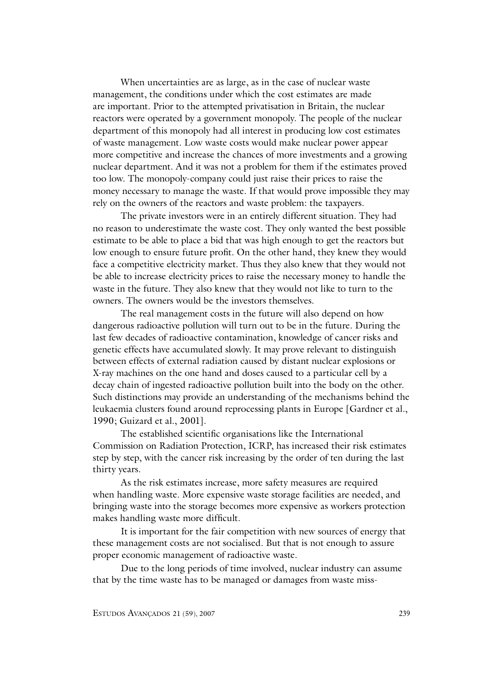When uncertainties are as large, as in the case of nuclear waste management, the conditions under which the cost estimates are made are important. Prior to the attempted privatisation in Britain, the nuclear reactors were operated by a government monopoly. The people of the nuclear department of this monopoly had all interest in producing low cost estimates of waste management. Low waste costs would make nuclear power appear more competitive and increase the chances of more investments and a growing nuclear department. And it was not a problem for them if the estimates proved too low. The monopoly-company could just raise their prices to raise the money necessary to manage the waste. If that would prove impossible they may rely on the owners of the reactors and waste problem: the taxpayers.

The private investors were in an entirely different situation. They had no reason to underestimate the waste cost. They only wanted the best possible estimate to be able to place a bid that was high enough to get the reactors but low enough to ensure future profit. On the other hand, they knew they would face a competitive electricity market. Thus they also knew that they would not be able to increase electricity prices to raise the necessary money to handle the waste in the future. They also knew that they would not like to turn to the owners. The owners would be the investors themselves.

The real management costs in the future will also depend on how dangerous radioactive pollution will turn out to be in the future. During the last few decades of radioactive contamination, knowledge of cancer risks and genetic effects have accumulated slowly. It may prove relevant to distinguish between effects of external radiation caused by distant nuclear explosions or X-ray machines on the one hand and doses caused to a particular cell by a decay chain of ingested radioactive pollution built into the body on the other. Such distinctions may provide an understanding of the mechanisms behind the leukaemia clusters found around reprocessing plants in Europe [Gardner et al., 1990; Guizard et al., 2001].

The established scientific organisations like the International Commission on Radiation Protection, ICRP, has increased their risk estimates step by step, with the cancer risk increasing by the order of ten during the last thirty years.

As the risk estimates increase, more safety measures are required when handling waste. More expensive waste storage facilities are needed, and bringing waste into the storage becomes more expensive as workers protection makes handling waste more difficult.

It is important for the fair competition with new sources of energy that these management costs are not socialised. But that is not enough to assure proper economic management of radioactive waste.

Due to the long periods of time involved, nuclear industry can assume that by the time waste has to be managed or damages from waste miss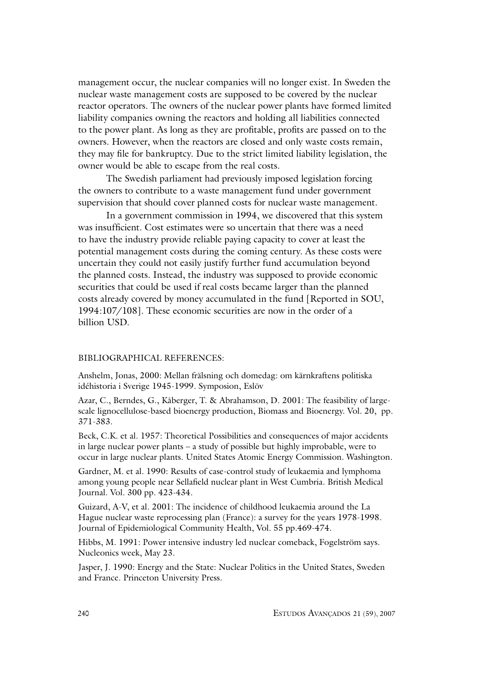management occur, the nuclear companies will no longer exist. In Sweden the nuclear waste management costs are supposed to be covered by the nuclear reactor operators. The owners of the nuclear power plants have formed limited liability companies owning the reactors and holding all liabilities connected to the power plant. As long as they are profitable, profits are passed on to the owners. However, when the reactors are closed and only waste costs remain, they may file for bankruptcy. Due to the strict limited liability legislation, the owner would be able to escape from the real costs.

The Swedish parliament had previously imposed legislation forcing the owners to contribute to a waste management fund under government supervision that should cover planned costs for nuclear waste management.

In a government commission in 1994, we discovered that this system was insufficient. Cost estimates were so uncertain that there was a need to have the industry provide reliable paying capacity to cover at least the potential management costs during the coming century. As these costs were uncertain they could not easily justify further fund accumulation beyond the planned costs. Instead, the industry was supposed to provide economic securities that could be used if real costs became larger than the planned costs already covered by money accumulated in the fund [Reported in SOU, 1994:107/108]. These economic securities are now in the order of a billion USD.

#### BIBLIOGRAPHICAL REFERENCES:

Anshelm, Jonas, 2000: Mellan frälsning och domedag: om kärnkraftens politiska idéhistoria i Sverige 1945-1999. Symposion, Eslöv

Azar, C., Berndes, G., Kåberger, T. & Abrahamson, D. 2001: The feasibility of largescale lignocellulose-based bioenergy production, Biomass and Bioenergy. Vol. 20, pp. 371-383.

Beck, C.K. et al. 1957: Theoretical Possibilities and consequences of major accidents in large nuclear power plants – a study of possible but highly improbable, were to occur in large nuclear plants. United States Atomic Energy Commission. Washington.

Gardner, M. et al. 1990: Results of case-control study of leukaemia and lymphoma among young people near Sellafield nuclear plant in West Cumbria. British Medical Journal. Vol. 300 pp. 423-434.

Guizard, A-V, et al. 2001: The incidence of childhood leukaemia around the La Hague nuclear waste reprocessing plan (France): a survey for the years 1978-1998. Journal of Epidemiological Community Health, Vol. 55 pp.469-474.

Hibbs, M. 1991: Power intensive industry led nuclear comeback, Fogelström says. Nucleonics week, May 23.

Jasper, J. 1990: Energy and the State: Nuclear Politics in the United States, Sweden and France. Princeton University Press.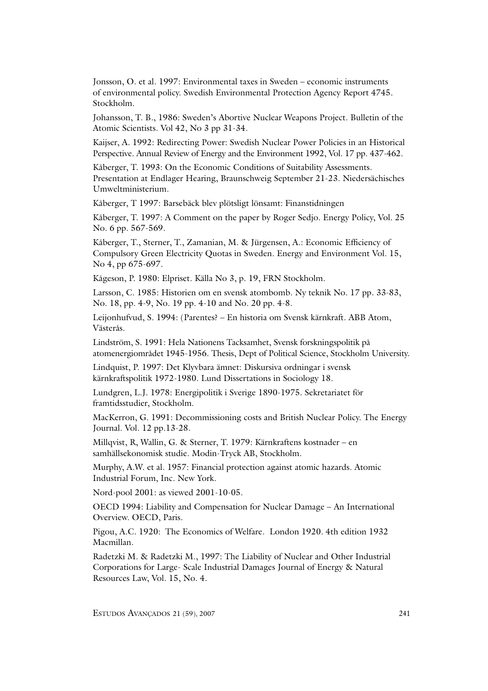Jonsson, O. et al. 1997: Environmental taxes in Sweden – economic instruments of environmental policy. Swedish Environmental Protection Agency Report 4745. Stockholm.

Johansson, T. B., 1986: Sweden's Abortive Nuclear Weapons Project. Bulletin of the Atomic Scientists. Vol 42, No 3 pp 31-34.

Kaijser, A. 1992: Redirecting Power: Swedish Nuclear Power Policies in an Historical Perspective. Annual Review of Energy and the Environment 1992, Vol. 17 pp. 437-462.

Kåberger, T. 1993: On the Economic Conditions of Suitability Assessments. Presentation at Endlager Hearing, Braunschweig September 21-23. Niedersächisches Umweltministerium.

Kåberger, T 1997: Barsebäck blev plötsligt lönsamt: Finanstidningen

Kåberger, T. 1997: A Comment on the paper by Roger Sedjo. Energy Policy, Vol. 25 No. 6 pp. 567-569.

Kåberger, T., Sterner, T., Zamanian, M. & Jürgensen, A.: Economic Efficiency of Compulsory Green Electricity Quotas in Sweden. Energy and Environment Vol. 15, No 4, pp 675-697.

Kågeson, P. 1980: Elpriset. Källa No 3, p. 19, FRN Stockholm.

Larsson, C. 1985: Historien om en svensk atombomb. Ny teknik No. 17 pp. 33-83, No. 18, pp. 4-9, No. 19 pp. 4-10 and No. 20 pp. 4-8.

Leijonhufvud, S. 1994: (Parentes? – En historia om Svensk kärnkraft. ABB Atom, Västerås.

Lindström, S. 1991: Hela Nationens Tacksamhet, Svensk forskningspolitik på atomenergiområdet 1945-1956. Thesis, Dept of Political Science, Stockholm University.

Lindquist, P. 1997: Det Klyvbara ämnet: Diskursiva ordningar i svensk kärnkraftspolitik 1972-1980. Lund Dissertations in Sociology 18.

Lundgren, L.J. 1978: Energipolitik i Sverige 1890-1975. Sekretariatet för framtidsstudier, Stockholm.

MacKerron, G. 1991: Decommissioning costs and British Nuclear Policy. The Energy Journal. Vol. 12 pp.13-28.

Millqvist, R, Wallin, G. & Sterner, T. 1979: Kärnkraftens kostnader – en samhällsekonomisk studie. Modin-Tryck AB, Stockholm.

Murphy, A.W. et al. 1957: Financial protection against atomic hazards. Atomic Industrial Forum, Inc. New York.

Nord-pool 2001: as viewed 2001-10-05.

OECD 1994: Liability and Compensation for Nuclear Damage – An International Overview. OECD, Paris.

Pigou, A.C. 1920: The Economics of Welfare. London 1920. 4th edition 1932 Macmillan.

Radetzki M. & Radetzki M., 1997: The Liability of Nuclear and Other Industrial Corporations for Large- Scale Industrial Damages Journal of Energy & Natural Resources Law, Vol. 15, No. 4.